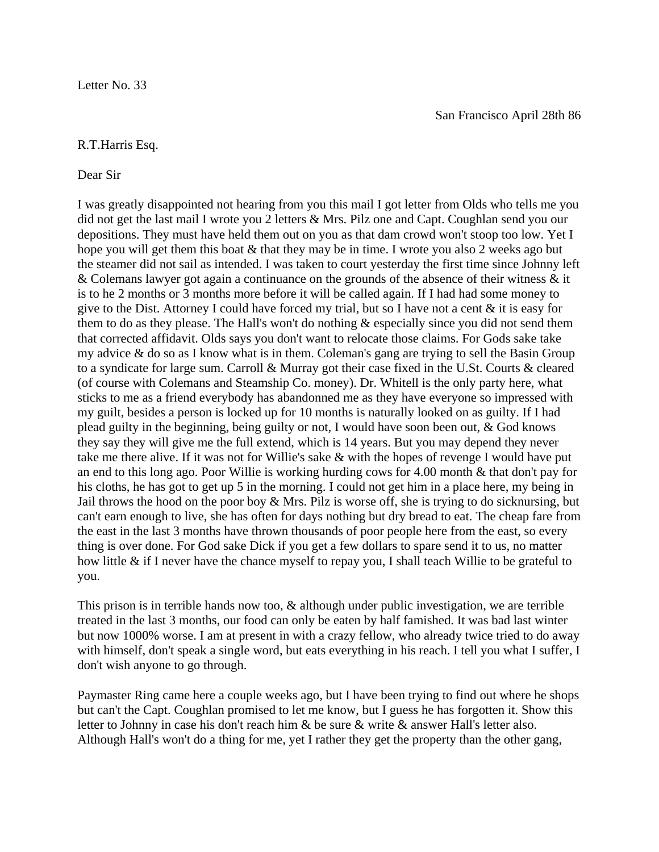## R.T.Harris Esq.

## Dear Sir

I was greatly disappointed not hearing from you this mail I got letter from Olds who tells me you did not get the last mail I wrote you 2 letters & Mrs. Pilz one and Capt. Coughlan send you our depositions. They must have held them out on you as that dam crowd won't stoop too low. Yet I hope you will get them this boat & that they may be in time. I wrote you also 2 weeks ago but the steamer did not sail as intended. I was taken to court yesterday the first time since Johnny left & Colemans lawyer got again a continuance on the grounds of the absence of their witness & it is to he 2 months or 3 months more before it will be called again. If I had had some money to give to the Dist. Attorney I could have forced my trial, but so I have not a cent & it is easy for them to do as they please. The Hall's won't do nothing  $\&$  especially since you did not send them that corrected affidavit. Olds says you don't want to relocate those claims. For Gods sake take my advice & do so as I know what is in them. Coleman's gang are trying to sell the Basin Group to a syndicate for large sum. Carroll & Murray got their case fixed in the U.St. Courts & cleared (of course with Colemans and Steamship Co. money). Dr. Whitell is the only party here, what sticks to me as a friend everybody has abandonned me as they have everyone so impressed with my guilt, besides a person is locked up for 10 months is naturally looked on as guilty. If I had plead guilty in the beginning, being guilty or not, I would have soon been out, & God knows they say they will give me the full extend, which is 14 years. But you may depend they never take me there alive. If it was not for Willie's sake & with the hopes of revenge I would have put an end to this long ago. Poor Willie is working hurding cows for 4.00 month & that don't pay for his cloths, he has got to get up 5 in the morning. I could not get him in a place here, my being in Jail throws the hood on the poor boy & Mrs. Pilz is worse off, she is trying to do sicknursing, but can't earn enough to live, she has often for days nothing but dry bread to eat. The cheap fare from the east in the last 3 months have thrown thousands of poor people here from the east, so every thing is over done. For God sake Dick if you get a few dollars to spare send it to us, no matter how little  $\&$  if I never have the chance myself to repay you, I shall teach Willie to be grateful to you.

This prison is in terrible hands now too, & although under public investigation, we are terrible treated in the last 3 months, our food can only be eaten by half famished. It was bad last winter but now 1000% worse. I am at present in with a crazy fellow, who already twice tried to do away with himself, don't speak a single word, but eats everything in his reach. I tell you what I suffer, I don't wish anyone to go through.

Paymaster Ring came here a couple weeks ago, but I have been trying to find out where he shops but can't the Capt. Coughlan promised to let me know, but I guess he has forgotten it. Show this letter to Johnny in case his don't reach him & be sure & write & answer Hall's letter also. Although Hall's won't do a thing for me, yet I rather they get the property than the other gang,